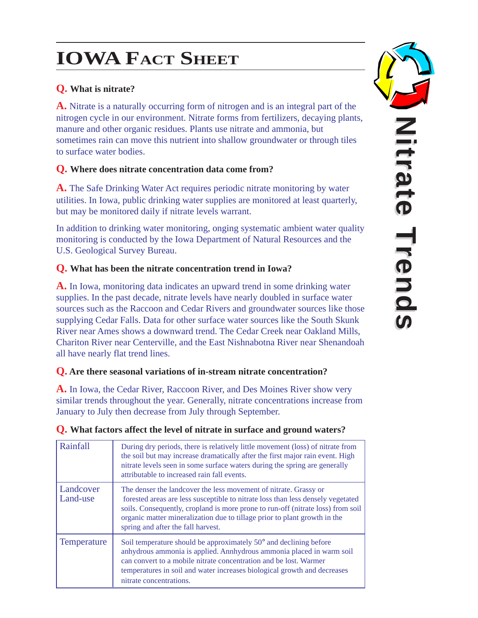# **IOWA FACT SHEET**

## **Q. What is nitrate?**

**A.** Nitrate is a naturally occurring form of nitrogen and is an integral part of the nitrogen cycle in our environment. Nitrate forms from fertilizers, decaying plants, manure and other organic residues. Plants use nitrate and ammonia, but sometimes rain can move this nutrient into shallow groundwater or through tiles to surface water bodies.

#### **Q. Where does nitrate concentration data come from?**

**A.** The Safe Drinking Water Act requires periodic nitrate monitoring by water utilities. In Iowa, public drinking water supplies are monitored at least quarterly , but may be monitored daily if nitrate levels warrant.

In addition to drinking water monitoring, onging systematic ambient water quality monitoring is conducted by the Iowa Department of Natural Resources and the U.S. Geological Survey Bureau.

### **Q. What has been the nitrate concentration trend in Iowa?**

**A.** In Iowa, monitoring data indicates an upward trend in some drinking water supplies. In the past decade, nitrate levels have nearly doubled in surface water sources such as the Raccoon and Cedar Rivers and groundwater sources like those supplying Cedar Falls. Data for other surface water sources like the South Skunk River near Ames shows a downward trend. The Cedar Creek near Oakland Mills, Chariton River near Centerville, and the East Nishnabotna River near Shenandoah all have nearly flat trend lines.

#### **Q. Are there seasonal variations of in-stream nitrate concentration?**

**A.** In Iowa, the Cedar River, Raccoon River, and Des Moines River show very similar trends throughout the year. Generally, nitrate concentrations increase from January to July then decrease from July through September .

| Rainfall              | During dry periods, there is relatively little movement (loss) of nitrate from<br>the soil but may increase dramatically after the first major rain event. High<br>nitrate levels seen in some surface waters during the spring are generally<br>attributable to increased rain fall events.                                                              |
|-----------------------|-----------------------------------------------------------------------------------------------------------------------------------------------------------------------------------------------------------------------------------------------------------------------------------------------------------------------------------------------------------|
| Landcover<br>Land-use | The denser the landcover the less movement of nitrate. Grassy or<br>forested areas are less susceptible to nitrate loss than less densely vegetated<br>soils. Consequently, cropland is more prone to run-off (nitrate loss) from soil<br>organic matter mineralization due to tillage prior to plant growth in the<br>spring and after the fall harvest. |
| <b>Temperature</b>    | Soil temperature should be approximately 50° and declining before<br>anhydrous ammonia is applied. Annhydrous ammonia placed in warm soil<br>can convert to a mobile nitrate concentration and be lost. Warmer<br>temperatures in soil and water increases biological growth and decreases<br>nitrate concentrations.                                     |

#### **Q. What factors affect the level of nitrate in surface and ground waters?**